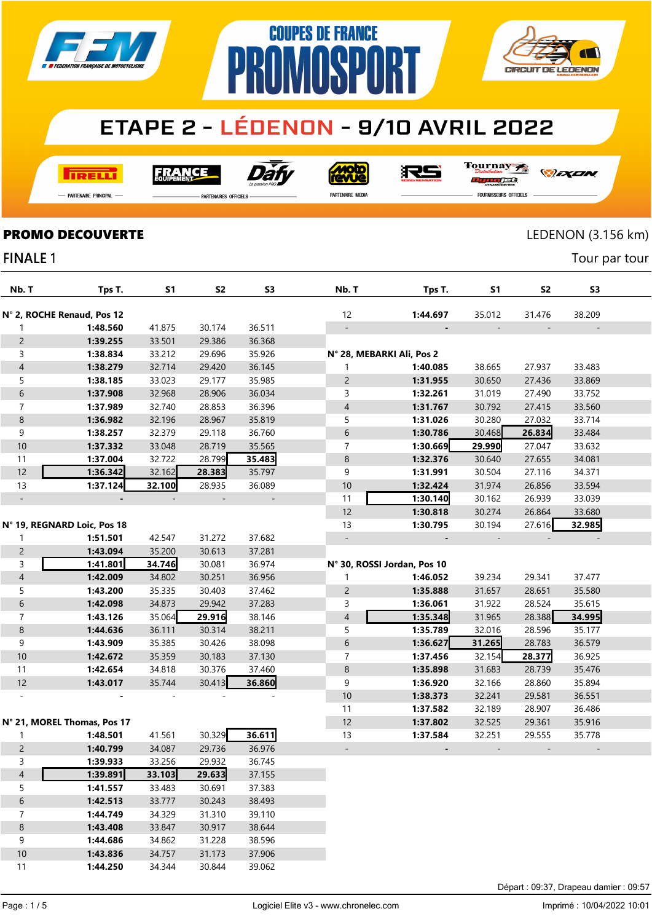



**I तत्वच**र्च

Dàt **FRANCE** 

**Solo** 沢ら Tournay rac

*DEXEN* 

-<br>Partenaire Principal

**PARTENAIRES OFFICIELS** 

PR

PARTENAIRE MEDIA

FOURNISSEURS OFFICIELS

**PROMO DECOUVERTE** LEDENON (3.156 km)

Tour par tour

### **FINALE 1**

| Nb. T          | Tps T.                      | S1     | S <sub>2</sub> | S3     | Nb. T                     | Tps T.                      | <b>S1</b> | S <sub>2</sub> | S3     |  |
|----------------|-----------------------------|--------|----------------|--------|---------------------------|-----------------------------|-----------|----------------|--------|--|
|                | N° 2, ROCHE Renaud, Pos 12  |        |                |        | 12                        | 1:44.697                    | 35.012    | 31.476         | 38.209 |  |
| 1              | 1:48.560                    | 41.875 | 30.174         | 36.511 |                           |                             |           |                |        |  |
| $\overline{c}$ | 1:39.255                    | 33.501 | 29.386         | 36.368 |                           |                             |           |                |        |  |
| 3              | 1:38.834                    | 33.212 | 29.696         | 35.926 | N° 28, MEBARKI Ali, Pos 2 |                             |           |                |        |  |
| $\overline{4}$ | 1:38.279                    | 32.714 | 29.420         | 36.145 | 1                         | 1:40.085                    | 38.665    | 27.937         | 33.483 |  |
| 5              | 1:38.185                    | 33.023 | 29.177         | 35.985 | $\overline{2}$            | 1:31.955                    | 30.650    | 27.436         | 33.869 |  |
| 6              | 1:37.908                    | 32.968 | 28.906         | 36.034 | 3                         | 1:32.261                    | 31.019    | 27.490         | 33.752 |  |
| $\overline{7}$ | 1:37.989                    | 32.740 | 28.853         | 36.396 | 4                         | 1:31.767                    | 30.792    | 27.415         | 33.560 |  |
| 8              | 1:36.982                    | 32.196 | 28.967         | 35.819 | 5                         | 1:31.026                    | 30.280    | 27.032         | 33.714 |  |
| 9              | 1:38.257                    | 32.379 | 29.118         | 36.760 | 6                         | 1:30.786                    | 30.468    | 26.834         | 33.484 |  |
| 10             | 1:37.332                    | 33.048 | 28.719         | 35.565 | 7                         | 1:30.669                    | 29.990    | 27.047         | 33.632 |  |
| 11             | 1:37.004                    | 32.722 | 28.799         | 35.483 | 8                         | 1:32.376                    | 30.640    | 27.655         | 34.081 |  |
| 12             | 1:36.342                    | 32.162 | 28.383         | 35.797 | 9                         | 1:31.991                    | 30.504    | 27.116         | 34.371 |  |
| 13             | 1:37.124                    | 32.100 | 28.935         | 36.089 | 10                        | 1:32.424                    | 31.974    | 26.856         | 33.594 |  |
|                |                             |        |                |        | 11                        | 1:30.140                    | 30.162    | 26.939         | 33.039 |  |
|                |                             |        |                |        | 12                        | 1:30.818                    | 30.274    | 26.864         | 33.680 |  |
|                | N° 19, REGNARD Loic, Pos 18 |        |                |        | 13                        | 1:30.795                    | 30.194    | 27.616         | 32.985 |  |
| 1              | 1:51.501                    | 42.547 | 31.272         | 37.682 |                           |                             |           |                |        |  |
| $\overline{c}$ | 1:43.094                    | 35.200 | 30.613         | 37.281 |                           |                             |           |                |        |  |
| 3              | 1:41.801                    | 34.746 | 30.081         | 36.974 |                           | N° 30, ROSSI Jordan, Pos 10 |           |                |        |  |
| $\overline{4}$ | 1:42.009                    | 34.802 | 30.251         | 36.956 | 1                         | 1:46.052                    | 39.234    | 29.341         | 37.477 |  |
| 5              | 1:43.200                    | 35.335 | 30.403         | 37.462 | $\overline{c}$            | 1:35.888                    | 31.657    | 28.651         | 35.580 |  |
| 6              | 1:42.098                    | 34.873 | 29.942         | 37.283 | 3                         | 1:36.061                    | 31.922    | 28.524         | 35.615 |  |
| $\overline{7}$ | 1:43.126                    | 35.064 | 29.916         | 38.146 | 4                         | 1:35.348                    | 31.965    | 28.388         | 34.995 |  |
| 8              | 1:44.636                    | 36.111 | 30.314         | 38.211 | 5                         | 1:35.789                    | 32.016    | 28.596         | 35.177 |  |
| 9              | 1:43.909                    | 35.385 | 30.426         | 38.098 | 6                         | 1:36.627                    | 31.265    | 28.783         | 36.579 |  |
| 10             | 1:42.672                    | 35.359 | 30.183         | 37.130 | 7                         | 1:37.456                    | 32.154    | 28.377         | 36.925 |  |
| 11             | 1:42.654                    | 34.818 | 30.376         | 37.460 | 8                         | 1:35.898                    | 31.683    | 28.739         | 35.476 |  |
| 12             | 1:43.017                    | 35.744 | 30.413         | 36.860 | 9                         | 1:36.920                    | 32.166    | 28.860         | 35.894 |  |
|                |                             |        |                |        | 10                        | 1:38.373                    | 32.241    | 29.581         | 36.551 |  |
|                |                             |        |                |        | 11                        | 1:37.582                    | 32.189    | 28.907         | 36.486 |  |
|                | N° 21, MOREL Thomas, Pos 17 |        |                |        | 12                        | 1:37.802                    | 32.525    | 29.361         | 35.916 |  |
| 1              | 1:48.501                    | 41.561 | 30.329         | 36.611 | 13                        | 1:37.584                    | 32.251    | 29.555         | 35.778 |  |
| $\overline{2}$ | 1:40.799                    | 34.087 | 29.736         | 36.976 |                           |                             |           |                |        |  |
| 3              | 1:39.933                    | 33.256 | 29.932         | 36.745 |                           |                             |           |                |        |  |
| 4              | 1:39.891                    | 33.103 | 29.633         | 37.155 |                           |                             |           |                |        |  |
| 5              | 1:41.557                    | 33.483 | 30.691         | 37.383 |                           |                             |           |                |        |  |
| 6              | 1:42.513                    | 33.777 | 30.243         | 38.493 |                           |                             |           |                |        |  |
| 7              | 1:44.749                    | 34.329 | 31.310         | 39.110 |                           |                             |           |                |        |  |
| $\bf 8$        | 1:43.408                    | 33.847 | 30.917         | 38.644 |                           |                             |           |                |        |  |
| 9              | 1:44.686                    | 34.862 | 31.228         | 38.596 |                           |                             |           |                |        |  |
| 10             | 1:43.836                    | 34.757 | 31.173         | 37.906 |                           |                             |           |                |        |  |

**1:44.250** 34.344 30.844 39.062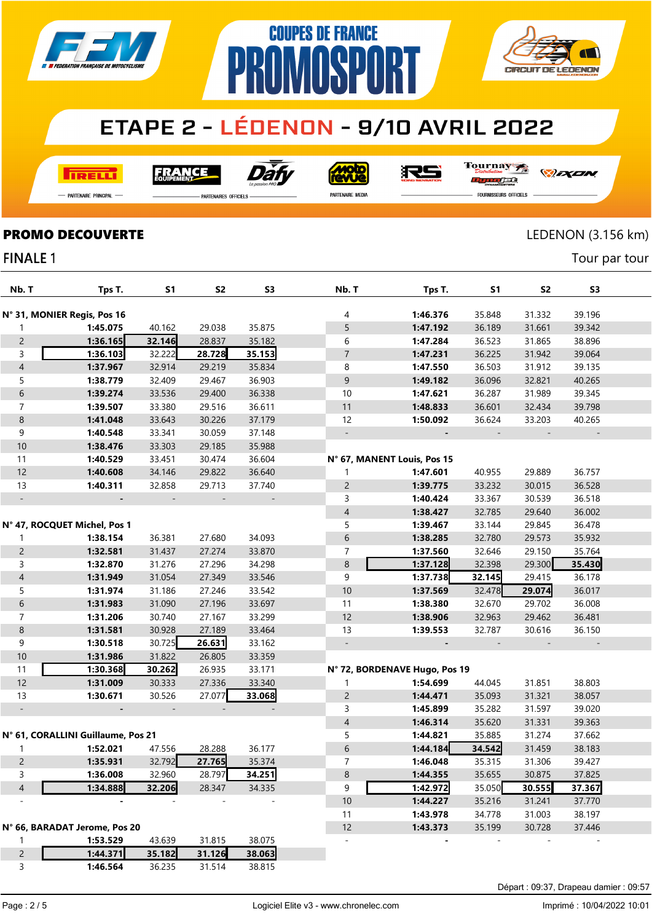

**COUPES DE FRANCE** 

**NMNSPNRT** 

**I तत्वच**र्च

Dàt **FRANCE** 

**MOLO**<br>AVVe

RS

Tournay orse

**CIRCUIT DE LEDENON** 

- Partenaire Principal

**PARTENAIRES OFFICIELS** 

PR

PARTENAIRE MEDIA

**FOURNISSEURS OFFICIELS** 

*DEXEN* 

Tour par tour

#### **PROMO DECOUVERTE** LEDENON (3.156 km)

#### **FINALE 1**

| Nb. T                    | Tps T.                             | S1     | S2     | S <sub>3</sub> | Nb. T                    | Tps T.                        | S1     | S2     | S <sub>3</sub> |  |
|--------------------------|------------------------------------|--------|--------|----------------|--------------------------|-------------------------------|--------|--------|----------------|--|
|                          | N° 31, MONIER Regis, Pos 16        |        |        |                | 4                        | 1:46.376                      | 35.848 | 31.332 | 39.196         |  |
| 1                        | 1:45.075                           | 40.162 | 29.038 | 35.875         | 5                        | 1:47.192                      | 36.189 | 31.661 | 39.342         |  |
| $\overline{2}$           | 1:36.165                           | 32.146 | 28.837 | 35.182         | 6                        | 1:47.284                      | 36.523 | 31.865 | 38.896         |  |
| 3                        | 1:36.103                           | 32.222 | 28.728 | 35.153         | $\overline{7}$           | 1:47.231                      | 36.225 | 31.942 | 39.064         |  |
| $\overline{4}$           | 1:37.967                           | 32.914 | 29.219 | 35.834         | 8                        | 1:47.550                      | 36.503 | 31.912 | 39.135         |  |
| 5                        | 1:38.779                           | 32.409 | 29.467 | 36.903         | 9                        | 1:49.182                      | 36.096 | 32.821 | 40.265         |  |
| $\,$ 6 $\,$              | 1:39.274                           | 33.536 | 29.400 | 36.338         | 10                       | 1:47.621                      | 36.287 | 31.989 | 39.345         |  |
| $\overline{7}$           | 1:39.507                           | 33.380 | 29.516 | 36.611         | 11                       | 1:48.833                      | 36.601 | 32.434 | 39.798         |  |
| $\,8\,$                  | 1:41.048                           | 33.643 | 30.226 | 37.179         | 12                       | 1:50.092                      | 36.624 | 33.203 | 40.265         |  |
| 9                        | 1:40.548                           | 33.341 | 30.059 | 37.148         | $\overline{\phantom{0}}$ |                               |        |        |                |  |
| 10                       | 1:38.476                           | 33.303 | 29.185 | 35.988         |                          |                               |        |        |                |  |
| 11                       | 1:40.529                           | 33.451 | 30.474 | 36.604         |                          | N° 67, MANENT Louis, Pos 15   |        |        |                |  |
| 12                       | 1:40.608                           | 34.146 | 29.822 | 36.640         | 1                        | 1:47.601                      | 40.955 | 29.889 | 36.757         |  |
| 13                       | 1:40.311                           | 32.858 | 29.713 | 37.740         | $\overline{2}$           | 1:39.775                      | 33.232 | 30.015 | 36.528         |  |
| $\overline{\phantom{a}}$ |                                    |        |        |                | 3                        | 1:40.424                      | 33.367 | 30.539 | 36.518         |  |
|                          |                                    |        |        |                | $\overline{\mathcal{A}}$ | 1:38.427                      | 32.785 | 29.640 | 36.002         |  |
|                          | N° 47, ROCQUET Michel, Pos 1       |        |        |                | 5                        | 1:39.467                      | 33.144 | 29.845 | 36.478         |  |
| 1                        | 1:38.154                           | 36.381 | 27.680 | 34.093         | 6                        | 1:38.285                      | 32.780 | 29.573 | 35.932         |  |
| $\overline{c}$           | 1:32.581                           | 31.437 | 27.274 | 33.870         | 7                        | 1:37.560                      | 32.646 | 29.150 | 35.764         |  |
| 3                        | 1:32.870                           | 31.276 | 27.296 | 34.298         | 8                        | 1:37.128                      | 32.398 | 29.300 | 35.430         |  |
| $\sqrt{4}$               | 1:31.949                           | 31.054 | 27.349 | 33.546         | 9                        | 1:37.738                      | 32.145 | 29.415 | 36.178         |  |
| 5                        | 1:31.974                           | 31.186 | 27.246 | 33.542         | 10                       | 1:37.569                      | 32.478 | 29.074 | 36.017         |  |
| $\,$ 6 $\,$              | 1:31.983                           | 31.090 | 27.196 | 33.697         | 11                       | 1:38.380                      | 32.670 | 29.702 | 36.008         |  |
| $\overline{7}$           | 1:31.206                           | 30.740 | 27.167 | 33.299         | 12                       | 1:38.906                      | 32.963 | 29.462 | 36.481         |  |
| $\,8\,$                  | 1:31.581                           | 30.928 | 27.189 | 33.464         | 13                       | 1:39.553                      | 32.787 | 30.616 | 36.150         |  |
| 9                        | 1:30.518                           | 30.725 | 26.631 | 33.162         | $\overline{\phantom{a}}$ |                               |        |        |                |  |
| 10                       | 1:31.986                           | 31.822 | 26.805 | 33.359         |                          |                               |        |        |                |  |
| 11                       | 1:30.368                           | 30.262 | 26.935 | 33.171         |                          | N° 72, BORDENAVE Hugo, Pos 19 |        |        |                |  |
| 12                       | 1:31.009                           | 30.333 | 27.336 | 33.340         | 1                        | 1:54.699                      | 44.045 | 31.851 | 38.803         |  |
| 13                       | 1:30.671                           | 30.526 | 27.077 | 33.068         | $\overline{c}$           | 1:44.471                      | 35.093 | 31.321 | 38.057         |  |
| $\overline{\phantom{a}}$ |                                    |        |        |                | 3                        | 1:45.899                      | 35.282 | 31.597 | 39.020         |  |
|                          |                                    |        |        |                | $\overline{\mathcal{A}}$ | 1:46.314                      | 35.620 | 31.331 | 39.363         |  |
|                          | N° 61, CORALLINI Guillaume, Pos 21 |        |        |                | 5                        | 1:44.821                      | 35.885 | 31.274 | 37.662         |  |
| 1                        | 1:52.021                           | 47.556 | 28.288 | 36.177         | 6                        | 1:44.184                      | 34.542 | 31.459 | 38.183         |  |
| $\overline{c}$           | 1:35.931                           | 32.792 | 27.765 | 35.374         | 7                        | 1:46.048                      | 35.315 | 31.306 | 39.427         |  |
| 3                        | 1:36.008                           | 32.960 | 28.797 | 34.251         | $\bf 8$                  | 1:44.355                      | 35.655 | 30.875 | 37.825         |  |
| $\sqrt{4}$               | 1:34.888                           | 32.206 | 28.347 | 34.335         | 9                        | 1:42.972                      | 35.050 | 30.555 | 37.367         |  |
|                          |                                    |        |        |                | $10$                     | 1:44.227                      | 35.216 | 31.241 | 37.770         |  |
|                          |                                    |        |        |                | 11                       | 1:43.978                      | 34.778 | 31.003 | 38.197         |  |
|                          | N° 66, BARADAT Jerome, Pos 20      |        |        |                | 12                       | 1:43.373                      | 35.199 | 30.728 | 37.446         |  |
| 1                        | 1:53.529                           | 43.639 | 31.815 | 38.075         |                          |                               |        |        |                |  |
| $\mathsf{2}\,$           | 1:44.371                           | 35.182 | 31.126 | 38.063         |                          |                               |        |        |                |  |
| 3                        | 1:46.564                           | 36.235 | 31.514 | 38.815         |                          |                               |        |        |                |  |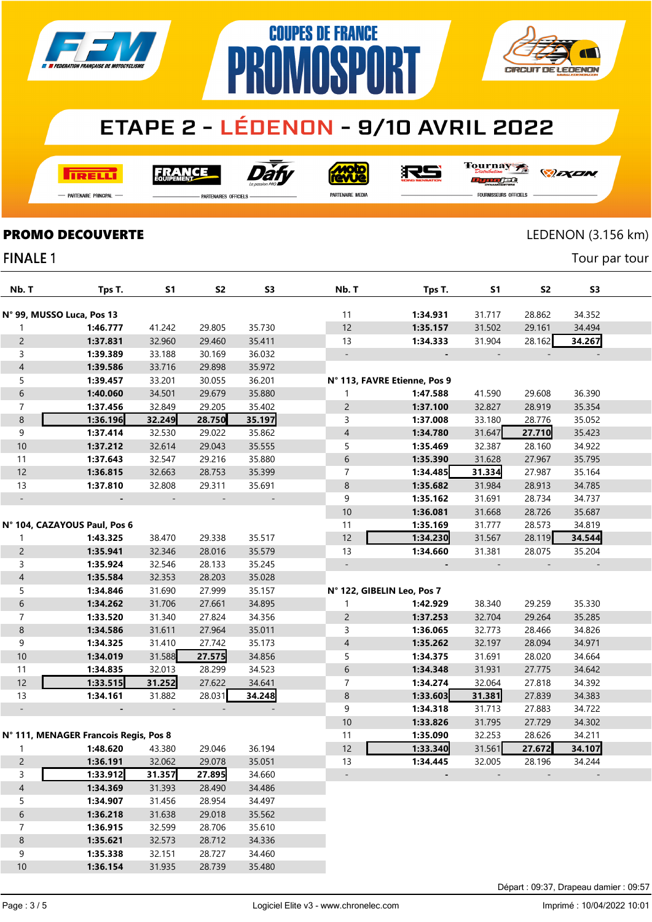

**NMNSPNRT** 

**COUPES DE FRANCE** 

**TRELLI** 

**FRANCE** 

Dài

**Moto**<br>EWJE

Tournay RS n <del>n i</del>

*DEXEN* o/se

— Partenaire Principal

**PARTENAIRES OFFICIELS** 

PR

PARTENAIRE MEDIA

**FOURNISSEURS OFFICIELS** 

 $\overline{\mathcal{N}}$ 

**CIRCUIT DE LEDENON** 

Tour par tour

### **PROMO DECOUVERTE** LEDENON (3.156 km)

#### **FINALE 1**

| Nb. T                    | Tps T.                                | S1     | <b>S2</b> | S <sub>3</sub> | Nb. T                        | Tps T.   | S1     | S2     | S <sub>3</sub> |  |
|--------------------------|---------------------------------------|--------|-----------|----------------|------------------------------|----------|--------|--------|----------------|--|
|                          | N° 99, MUSSO Luca, Pos 13             |        |           |                | 11                           | 1:34.931 | 31.717 | 28.862 | 34.352         |  |
| 1                        | 1:46.777                              | 41.242 | 29.805    | 35.730         | 12                           | 1:35.157 | 31.502 | 29.161 | 34.494         |  |
| $\overline{2}$           | 1:37.831                              | 32.960 | 29.460    | 35.411         | 13                           | 1:34.333 | 31.904 | 28.162 | 34.267         |  |
| 3                        | 1:39.389                              | 33.188 | 30.169    | 36.032         | $\overline{\phantom{a}}$     |          |        |        |                |  |
| $\overline{\mathcal{A}}$ | 1:39.586                              | 33.716 | 29.898    | 35.972         |                              |          |        |        |                |  |
| 5                        | 1:39.457                              | 33.201 | 30.055    | 36.201         | N° 113, FAVRE Etienne, Pos 9 |          |        |        |                |  |
| $\boldsymbol{6}$         | 1:40.060                              | 34.501 | 29.679    | 35.880         | 1                            | 1:47.588 | 41.590 | 29.608 | 36.390         |  |
| 7                        | 1:37.456                              | 32.849 | 29.205    | 35.402         | $\overline{2}$               | 1:37.100 | 32.827 | 28.919 | 35.354         |  |
| 8                        | 1:36.196                              | 32.249 | 28.750    | 35.197         | 3                            | 1:37.008 | 33.180 | 28.776 | 35.052         |  |
| 9                        | 1:37.414                              | 32.530 | 29.022    | 35.862         | 4                            | 1:34.780 | 31.647 | 27.710 | 35.423         |  |
| $10$                     | 1:37.212                              | 32.614 | 29.043    | 35.555         | 5                            | 1:35.469 | 32.387 | 28.160 | 34.922         |  |
| 11                       | 1:37.643                              | 32.547 | 29.216    | 35.880         | 6                            | 1:35.390 | 31.628 | 27.967 | 35.795         |  |
| 12                       | 1:36.815                              | 32.663 | 28.753    | 35.399         | 7                            | 1:34.485 | 31.334 | 27.987 | 35.164         |  |
| 13                       | 1:37.810                              | 32.808 | 29.311    | 35.691         | 8                            | 1:35.682 | 31.984 | 28.913 | 34.785         |  |
| $\overline{\phantom{a}}$ |                                       |        |           |                | 9                            | 1:35.162 | 31.691 | 28.734 | 34.737         |  |
|                          |                                       |        |           |                | 10                           | 1:36.081 | 31.668 | 28.726 | 35.687         |  |
|                          | N° 104, CAZAYOUS Paul, Pos 6          |        |           |                | 11                           | 1:35.169 | 31.777 | 28.573 | 34.819         |  |
| 1                        | 1:43.325                              | 38.470 | 29.338    | 35.517         | 12                           | 1:34.230 | 31.567 | 28.119 | 34.544         |  |
| $\overline{2}$           | 1:35.941                              | 32.346 | 28.016    | 35.579         | 13                           | 1:34.660 | 31.381 | 28.075 | 35.204         |  |
| 3                        | 1:35.924                              | 32.546 | 28.133    | 35.245         | $\overline{\phantom{a}}$     |          |        |        |                |  |
| $\overline{\mathcal{A}}$ | 1:35.584                              | 32.353 | 28.203    | 35.028         |                              |          |        |        |                |  |
| 5                        | 1:34.846                              | 31.690 | 27.999    | 35.157         | N° 122, GIBELIN Leo, Pos 7   |          |        |        |                |  |
| $\boldsymbol{6}$         | 1:34.262                              | 31.706 | 27.661    | 34.895         | 1                            | 1:42.929 | 38.340 | 29.259 | 35.330         |  |
| 7                        | 1:33.520                              | 31.340 | 27.824    | 34.356         | $\overline{c}$               | 1:37.253 | 32.704 | 29.264 | 35.285         |  |
| 8                        | 1:34.586                              | 31.611 | 27.964    | 35.011         | 3                            | 1:36.065 | 32.773 | 28.466 | 34.826         |  |
| 9                        | 1:34.325                              | 31.410 | 27.742    | 35.173         | 4                            | 1:35.262 | 32.197 | 28.094 | 34.971         |  |
| $10$                     | 1:34.019                              | 31.588 | 27.575    | 34.856         | 5                            | 1:34.375 | 31.691 | 28.020 | 34.664         |  |
| 11                       | 1:34.835                              | 32.013 | 28.299    | 34.523         | 6                            | 1:34.348 | 31.931 | 27.775 | 34.642         |  |
| 12                       | 1:33.515                              | 31.252 | 27.622    | 34.641         | 7                            | 1:34.274 | 32.064 | 27.818 | 34.392         |  |
| 13                       | 1:34.161                              | 31.882 | 28.031    | 34.248         | 8                            | 1:33.603 | 31.381 | 27.839 | 34.383         |  |
| $\overline{\phantom{a}}$ |                                       |        |           |                | 9                            | 1:34.318 | 31.713 | 27.883 | 34.722         |  |
|                          |                                       |        |           |                | 10                           | 1:33.826 | 31.795 | 27.729 | 34.302         |  |
|                          | N° 111, MENAGER Francois Regis, Pos 8 |        |           |                | 11                           | 1:35.090 | 32.253 | 28.626 | 34.211         |  |
| 1                        | 1:48.620                              | 43.380 | 29.046    | 36.194         | 12                           | 1:33.340 | 31.561 | 27.672 | 34.107         |  |
| $\overline{c}$           | 1:36.191                              | 32.062 | 29.078    | 35.051         | 13                           | 1:34.445 | 32.005 | 28.196 | 34.244         |  |
| 3                        | 1:33.912                              | 31.357 | 27.895    | 34.660         |                              |          |        |        |                |  |
| $\overline{\mathcal{L}}$ | 1:34.369                              | 31.393 | 28.490    | 34.486         |                              |          |        |        |                |  |
| 5                        | 1:34.907                              | 31.456 | 28.954    | 34.497         |                              |          |        |        |                |  |
| $\sqrt{6}$               | 1:36.218                              | 31.638 | 29.018    | 35.562         |                              |          |        |        |                |  |
| $\overline{7}$           | 1:36.915                              | 32.599 | 28.706    | 35.610         |                              |          |        |        |                |  |
| $\bf 8$                  | 1:35.621                              | 32.573 | 28.712    | 34.336         |                              |          |        |        |                |  |
| 9                        | 1:35.338                              | 32.151 | 28.727    | 34.460         |                              |          |        |        |                |  |

1:36.154 31.935 28.739 35.480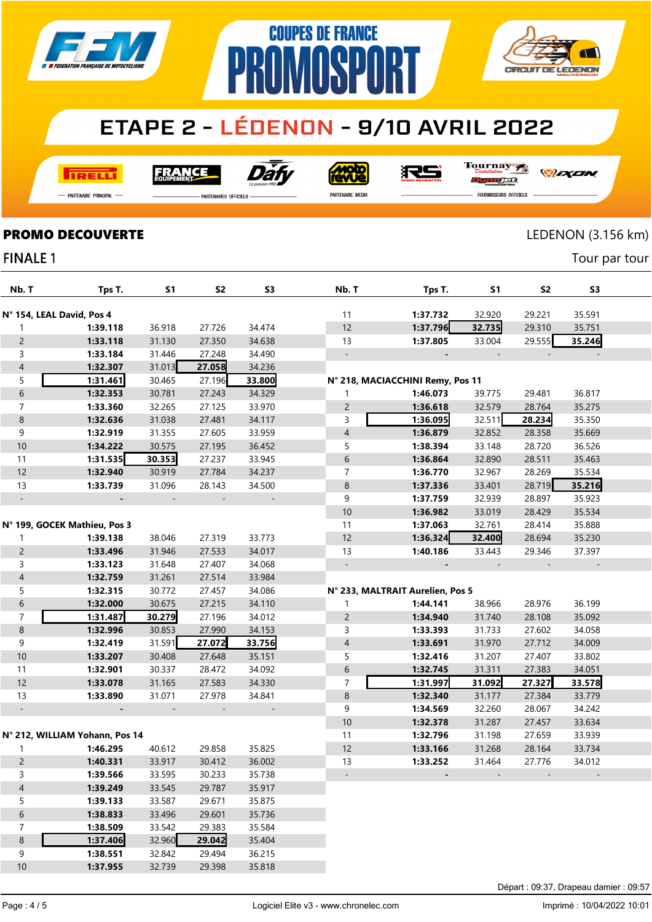

**COUPES DE FRANCE** 

**PROMOSPORT** 

**I तत्वच**र्च

Dat **FRANCE** 

**Moto** 

沢ら

Tournay ra

*DEXEN* 

**CIRCUIT DE LEDENON** 

-<br>Partenaire Principal

**FINALE 1** 

**PARTENAIRES OFFICIELS** 

PARTENAIRE MEDIA

FOURNISSEURS OFFICIELS

### **PROMO DECOUVERTE** LEDENON (3.156 km)

Tour par tour

| Nb. T                     | Tps T.                         | S1     | S <sub>2</sub> | S <sub>3</sub>           | Nb. T                    | Tps T.                           | S1     | S2     | S <sub>3</sub> |  |
|---------------------------|--------------------------------|--------|----------------|--------------------------|--------------------------|----------------------------------|--------|--------|----------------|--|
| N° 154, LEAL David, Pos 4 |                                |        |                |                          | 11                       | 1:37.732                         | 32.920 | 29.221 | 35.591         |  |
| 1                         | 1:39.118                       | 36.918 | 27.726         | 34.474                   | 12                       | 1:37.796                         | 32.735 | 29.310 | 35.751         |  |
| $\overline{2}$            | 1:33.118                       | 31.130 | 27.350         | 34.638                   | 13                       | 1:37.805                         | 33.004 | 29.555 | 35.246         |  |
| 3                         | 1:33.184                       | 31.446 | 27.248         | 34.490                   | $\overline{\phantom{a}}$ |                                  |        |        |                |  |
| $\overline{4}$            | 1:32.307                       | 31.013 | 27.058         | 34.236                   |                          |                                  |        |        |                |  |
|                           | 1:31.461                       |        | 27.196         |                          |                          |                                  |        |        |                |  |
| 5                         |                                | 30.465 |                | 33.800                   |                          | N° 218, MACIACCHINI Remy, Pos 11 |        |        |                |  |
| 6                         | 1:32.353                       | 30.781 | 27.243         | 34.329                   | 1                        | 1:46.073                         | 39.775 | 29.481 | 36.817         |  |
| 7                         | 1:33.360                       | 32.265 | 27.125         | 33.970                   | $\overline{c}$           | 1:36.618                         | 32.579 | 28.764 | 35.275         |  |
| 8                         | 1:32.636                       | 31.038 | 27.481         | 34.117                   | 3                        | 1:36.095                         | 32.511 | 28.234 | 35.350         |  |
| 9                         | 1:32.919                       | 31.355 | 27.605         | 33.959                   | $\overline{4}$           | 1:36.879                         | 32.852 | 28.358 | 35.669         |  |
| 10                        | 1:34.222                       | 30.575 | 27.195         | 36.452                   | 5                        | 1:38.394                         | 33.148 | 28.720 | 36.526         |  |
| 11                        | 1:31.535                       | 30.353 | 27.237         | 33.945                   | 6                        | 1:36.864                         | 32.890 | 28.511 | 35.463         |  |
| 12                        | 1:32.940                       | 30.919 | 27.784         | 34.237                   | $\overline{7}$           | 1:36.770                         | 32.967 | 28.269 | 35.534         |  |
| 13                        | 1:33.739                       | 31.096 | 28.143         | 34.500                   | 8                        | 1:37.336                         | 33.401 | 28.719 | 35.216         |  |
| $\qquad \qquad -$         |                                |        |                |                          | 9                        | 1:37.759                         | 32.939 | 28.897 | 35.923         |  |
|                           |                                |        |                |                          | 10                       | 1:36.982                         | 33.019 | 28.429 | 35.534         |  |
|                           | N° 199, GOCEK Mathieu, Pos 3   |        |                |                          | 11                       | 1:37.063                         | 32.761 | 28.414 | 35.888         |  |
| 1                         | 1:39.138                       | 38.046 | 27.319         | 33.773                   | 12                       | 1:36.324                         | 32.400 | 28.694 | 35.230         |  |
| $\overline{2}$            | 1:33.496                       | 31.946 | 27.533         | 34.017                   | 13                       | 1:40.186                         | 33.443 | 29.346 | 37.397         |  |
| 3                         | 1:33.123                       | 31.648 | 27.407         | 34.068                   | $\overline{\phantom{a}}$ |                                  |        |        |                |  |
| $\overline{4}$            | 1:32.759                       | 31.261 | 27.514         | 33.984                   |                          |                                  |        |        |                |  |
| 5                         | 1:32.315                       | 30.772 | 27.457         | 34.086                   |                          | N° 233, MALTRAIT Aurelien, Pos 5 |        |        |                |  |
| 6                         | 1:32.000                       | 30.675 | 27.215         | 34.110                   | 1                        | 1:44.141                         | 38.966 | 28.976 | 36.199         |  |
| $\overline{7}$            | 1:31.487                       | 30.279 | 27.196         | 34.012                   | $\overline{c}$           | 1:34.940                         | 31.740 | 28.108 | 35.092         |  |
| 8                         | 1:32.996                       | 30.853 | 27.990         | 34.153                   | 3                        | 1:33.393                         | 31.733 | 27.602 | 34.058         |  |
| 9                         | 1:32.419                       | 31.591 | 27.072         | 33.756                   | $\overline{4}$           | 1:33.691                         | 31.970 | 27.712 | 34.009         |  |
| $10$                      | 1:33.207                       | 30.408 | 27.648         | 35.151                   | 5                        | 1:32.416                         | 31.207 | 27.407 | 33.802         |  |
| 11                        | 1:32.901                       | 30.337 | 28.472         | 34.092                   | 6                        | 1:32.745                         | 31.311 | 27.383 | 34.051         |  |
| 12                        | 1:33.078                       | 31.165 | 27.583         | 34.330                   | $\overline{7}$           | 1:31.997                         | 31.092 | 27.327 | 33.578         |  |
| 13                        | 1:33.890                       | 31.071 | 27.978         | 34.841                   | $\,8\,$                  | 1:32.340                         | 31.177 | 27.384 | 33.779         |  |
| $\blacksquare$            |                                | $\sim$ |                | $\overline{\phantom{a}}$ | 9                        | 1:34.569                         | 32.260 | 28.067 | 34.242         |  |
|                           |                                |        |                |                          | 10                       | 1:32.378                         | 31.287 | 27.457 | 33.634         |  |
|                           | N° 212, WILLIAM Yohann, Pos 14 |        |                |                          | 11                       | 1:32.796                         | 31.198 | 27.659 | 33.939         |  |
|                           |                                |        |                |                          |                          |                                  |        |        |                |  |
| 1                         | 1:46.295                       | 40.612 | 29.858         | 35.825                   | 12                       | 1:33.166                         | 31.268 | 28.164 | 33.734         |  |
| $\overline{c}$            | 1:40.331                       | 33.917 | 30.412         | 36.002                   | 13                       | 1:33.252                         | 31.464 | 27.776 | 34.012         |  |
| 3                         | 1:39.566                       | 33.595 | 30.233         | 35.738                   |                          |                                  |        |        |                |  |
| $\overline{4}$            | 1:39.249                       | 33.545 | 29.787         | 35.917                   |                          |                                  |        |        |                |  |
| 5                         | 1:39.133                       | 33.587 | 29.671         | 35.875                   |                          |                                  |        |        |                |  |
| $\sqrt{6}$                | 1:38.833                       | 33.496 | 29.601         | 35.736                   |                          |                                  |        |        |                |  |
| $\overline{7}$            | 1:38.509                       | 33.542 | 29.383         | 35.584                   |                          |                                  |        |        |                |  |
| 8                         | 1:37.406                       | 32.960 | 29.042         | 35.404                   |                          |                                  |        |        |                |  |
| 9                         | 1:38.551                       | 32.842 | 29.494         | 36.215                   |                          |                                  |        |        |                |  |
| $10$                      | 1:37.955                       | 32.739 | 29.398         | 35.818                   |                          |                                  |        |        |                |  |